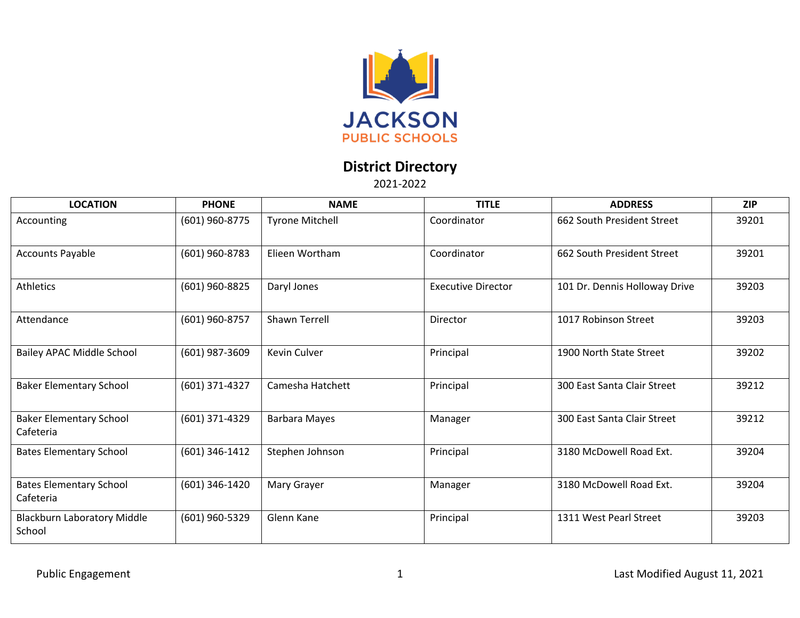

## **District Directory**

2021-2022

| <b>LOCATION</b>                             | <b>PHONE</b>   | <b>NAME</b>            | <b>TITLE</b>              | <b>ADDRESS</b>                | <b>ZIP</b> |
|---------------------------------------------|----------------|------------------------|---------------------------|-------------------------------|------------|
| Accounting                                  | (601) 960-8775 | <b>Tyrone Mitchell</b> | Coordinator               | 662 South President Street    | 39201      |
| <b>Accounts Payable</b>                     | (601) 960-8783 | Elieen Wortham         | Coordinator               | 662 South President Street    | 39201      |
| Athletics                                   | (601) 960-8825 | Daryl Jones            | <b>Executive Director</b> | 101 Dr. Dennis Holloway Drive | 39203      |
| Attendance                                  | (601) 960-8757 | Shawn Terrell          | Director                  | 1017 Robinson Street          | 39203      |
| Bailey APAC Middle School                   | (601) 987-3609 | Kevin Culver           | Principal                 | 1900 North State Street       | 39202      |
| <b>Baker Elementary School</b>              | (601) 371-4327 | Camesha Hatchett       | Principal                 | 300 East Santa Clair Street   | 39212      |
| <b>Baker Elementary School</b><br>Cafeteria | (601) 371-4329 | Barbara Mayes          | Manager                   | 300 East Santa Clair Street   | 39212      |
| <b>Bates Elementary School</b>              | (601) 346-1412 | Stephen Johnson        | Principal                 | 3180 McDowell Road Ext.       | 39204      |
| <b>Bates Elementary School</b><br>Cafeteria | (601) 346-1420 | Mary Grayer            | Manager                   | 3180 McDowell Road Ext.       | 39204      |
| Blackburn Laboratory Middle<br>School       | (601) 960-5329 | Glenn Kane             | Principal                 | 1311 West Pearl Street        | 39203      |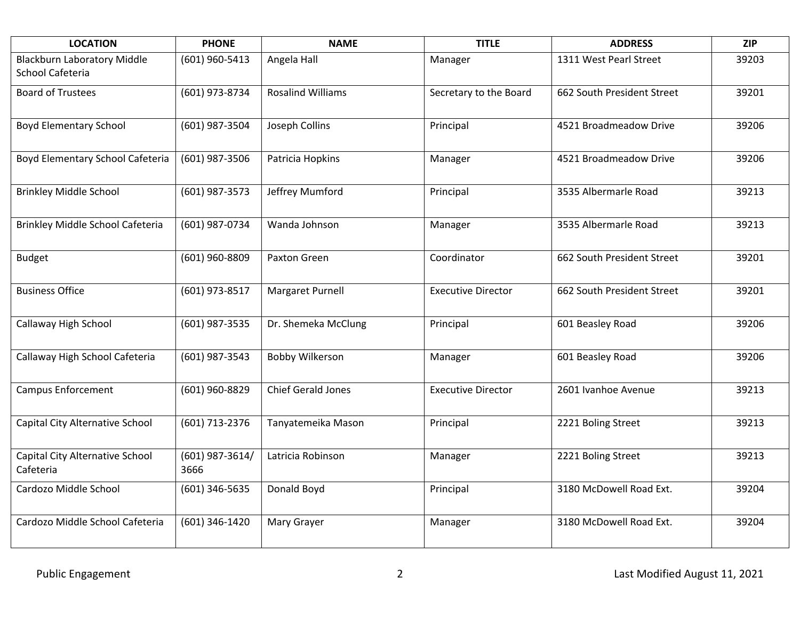| <b>LOCATION</b>                                        | <b>PHONE</b>              | <b>NAME</b>               | <b>TITLE</b>              | <b>ADDRESS</b>             | <b>ZIP</b> |
|--------------------------------------------------------|---------------------------|---------------------------|---------------------------|----------------------------|------------|
| <b>Blackburn Laboratory Middle</b><br>School Cafeteria | (601) 960-5413            | Angela Hall               | Manager                   | 1311 West Pearl Street     | 39203      |
| <b>Board of Trustees</b>                               | (601) 973-8734            | <b>Rosalind Williams</b>  | Secretary to the Board    | 662 South President Street | 39201      |
| <b>Boyd Elementary School</b>                          | (601) 987-3504            | Joseph Collins            | Principal                 | 4521 Broadmeadow Drive     | 39206      |
| Boyd Elementary School Cafeteria                       | (601) 987-3506            | Patricia Hopkins          | Manager                   | 4521 Broadmeadow Drive     | 39206      |
| <b>Brinkley Middle School</b>                          | (601) 987-3573            | Jeffrey Mumford           | Principal                 | 3535 Albermarle Road       | 39213      |
| Brinkley Middle School Cafeteria                       | (601) 987-0734            | Wanda Johnson             | Manager                   | 3535 Albermarle Road       | 39213      |
| <b>Budget</b>                                          | (601) 960-8809            | Paxton Green              | Coordinator               | 662 South President Street | 39201      |
| <b>Business Office</b>                                 | (601) 973-8517            | Margaret Purnell          | <b>Executive Director</b> | 662 South President Street | 39201      |
| Callaway High School                                   | (601) 987-3535            | Dr. Shemeka McClung       | Principal                 | 601 Beasley Road           | 39206      |
| Callaway High School Cafeteria                         | (601) 987-3543            | <b>Bobby Wilkerson</b>    | Manager                   | 601 Beasley Road           | 39206      |
| <b>Campus Enforcement</b>                              | (601) 960-8829            | <b>Chief Gerald Jones</b> | <b>Executive Director</b> | 2601 Ivanhoe Avenue        | 39213      |
| Capital City Alternative School                        | (601) 713-2376            | Tanyatemeika Mason        | Principal                 | 2221 Boling Street         | 39213      |
| Capital City Alternative School<br>Cafeteria           | $(601)$ 987-3614/<br>3666 | Latricia Robinson         | Manager                   | 2221 Boling Street         | 39213      |
| Cardozo Middle School                                  | (601) 346-5635            | Donald Boyd               | Principal                 | 3180 McDowell Road Ext.    | 39204      |
| Cardozo Middle School Cafeteria                        | (601) 346-1420            | Mary Grayer               | Manager                   | 3180 McDowell Road Ext.    | 39204      |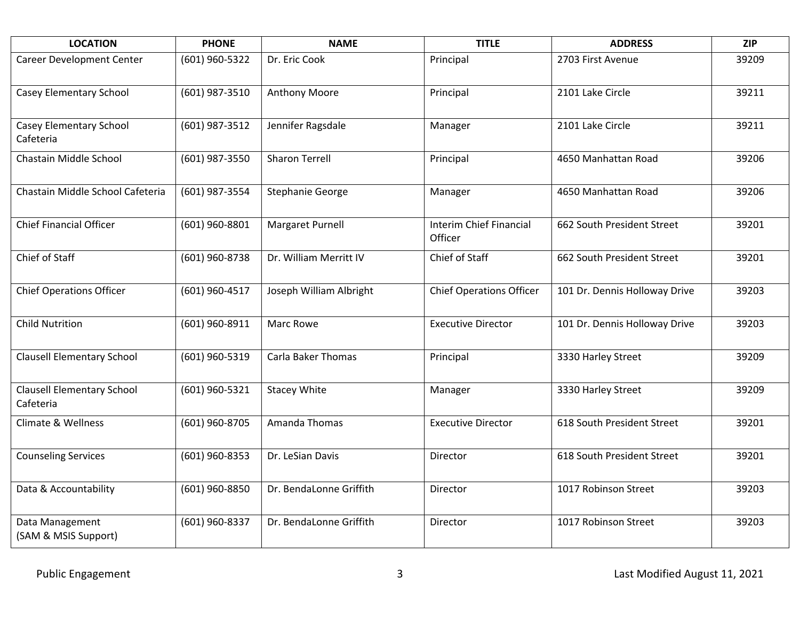| <b>LOCATION</b>                                | <b>PHONE</b>   | <b>NAME</b>               | <b>TITLE</b>                              | <b>ADDRESS</b>                | <b>ZIP</b> |
|------------------------------------------------|----------------|---------------------------|-------------------------------------------|-------------------------------|------------|
| Career Development Center                      | (601) 960-5322 | Dr. Eric Cook             | Principal                                 | 2703 First Avenue             | 39209      |
| Casey Elementary School                        | (601) 987-3510 | <b>Anthony Moore</b>      | Principal                                 | 2101 Lake Circle              | 39211      |
| Casey Elementary School<br>Cafeteria           | (601) 987-3512 | Jennifer Ragsdale         | Manager                                   | 2101 Lake Circle              | 39211      |
| Chastain Middle School                         | (601) 987-3550 | <b>Sharon Terrell</b>     | Principal                                 | 4650 Manhattan Road           | 39206      |
| Chastain Middle School Cafeteria               | (601) 987-3554 | Stephanie George          | Manager                                   | 4650 Manhattan Road           | 39206      |
| <b>Chief Financial Officer</b>                 | (601) 960-8801 | Margaret Purnell          | <b>Interim Chief Financial</b><br>Officer | 662 South President Street    | 39201      |
| Chief of Staff                                 | (601) 960-8738 | Dr. William Merritt IV    | Chief of Staff                            | 662 South President Street    | 39201      |
| <b>Chief Operations Officer</b>                | (601) 960-4517 | Joseph William Albright   | <b>Chief Operations Officer</b>           | 101 Dr. Dennis Holloway Drive | 39203      |
| <b>Child Nutrition</b>                         | (601) 960-8911 | Marc Rowe                 | <b>Executive Director</b>                 | 101 Dr. Dennis Holloway Drive | 39203      |
| <b>Clausell Elementary School</b>              | (601) 960-5319 | <b>Carla Baker Thomas</b> | Principal                                 | 3330 Harley Street            | 39209      |
| <b>Clausell Elementary School</b><br>Cafeteria | (601) 960-5321 | <b>Stacey White</b>       | Manager                                   | 3330 Harley Street            | 39209      |
| Climate & Wellness                             | (601) 960-8705 | Amanda Thomas             | <b>Executive Director</b>                 | 618 South President Street    | 39201      |
| <b>Counseling Services</b>                     | (601) 960-8353 | Dr. LeSian Davis          | Director                                  | 618 South President Street    | 39201      |
| Data & Accountability                          | (601) 960-8850 | Dr. BendaLonne Griffith   | Director                                  | 1017 Robinson Street          | 39203      |
| Data Management<br>(SAM & MSIS Support)        | (601) 960-8337 | Dr. BendaLonne Griffith   | Director                                  | 1017 Robinson Street          | 39203      |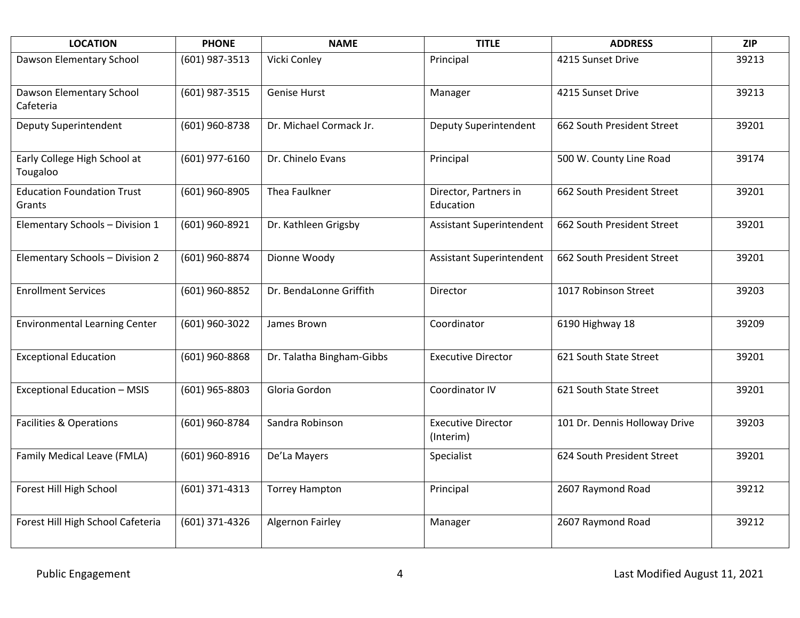| <b>LOCATION</b>                             | <b>PHONE</b>   | <b>NAME</b>               | <b>TITLE</b>                           | <b>ADDRESS</b>                | <b>ZIP</b> |
|---------------------------------------------|----------------|---------------------------|----------------------------------------|-------------------------------|------------|
| Dawson Elementary School                    | (601) 987-3513 | Vicki Conley              | Principal                              | 4215 Sunset Drive             | 39213      |
| Dawson Elementary School<br>Cafeteria       | (601) 987-3515 | <b>Genise Hurst</b>       | Manager                                | 4215 Sunset Drive             | 39213      |
| Deputy Superintendent                       | (601) 960-8738 | Dr. Michael Cormack Jr.   | Deputy Superintendent                  | 662 South President Street    | 39201      |
| Early College High School at<br>Tougaloo    | (601) 977-6160 | Dr. Chinelo Evans         | Principal                              | 500 W. County Line Road       | 39174      |
| <b>Education Foundation Trust</b><br>Grants | (601) 960-8905 | Thea Faulkner             | Director, Partners in<br>Education     | 662 South President Street    | 39201      |
| Elementary Schools - Division 1             | (601) 960-8921 | Dr. Kathleen Grigsby      | <b>Assistant Superintendent</b>        | 662 South President Street    | 39201      |
| Elementary Schools - Division 2             | (601) 960-8874 | Dionne Woody              | <b>Assistant Superintendent</b>        | 662 South President Street    | 39201      |
| <b>Enrollment Services</b>                  | (601) 960-8852 | Dr. BendaLonne Griffith   | Director                               | 1017 Robinson Street          | 39203      |
| <b>Environmental Learning Center</b>        | (601) 960-3022 | James Brown               | Coordinator                            | 6190 Highway 18               | 39209      |
| <b>Exceptional Education</b>                | (601) 960-8868 | Dr. Talatha Bingham-Gibbs | <b>Executive Director</b>              | 621 South State Street        | 39201      |
| <b>Exceptional Education - MSIS</b>         | (601) 965-8803 | Gloria Gordon             | Coordinator IV                         | 621 South State Street        | 39201      |
| <b>Facilities &amp; Operations</b>          | (601) 960-8784 | Sandra Robinson           | <b>Executive Director</b><br>(Interim) | 101 Dr. Dennis Holloway Drive | 39203      |
| Family Medical Leave (FMLA)                 | (601) 960-8916 | De'La Mayers              | Specialist                             | 624 South President Street    | 39201      |
| Forest Hill High School                     | (601) 371-4313 | <b>Torrey Hampton</b>     | Principal                              | 2607 Raymond Road             | 39212      |
| Forest Hill High School Cafeteria           | (601) 371-4326 | <b>Algernon Fairley</b>   | Manager                                | 2607 Raymond Road             | 39212      |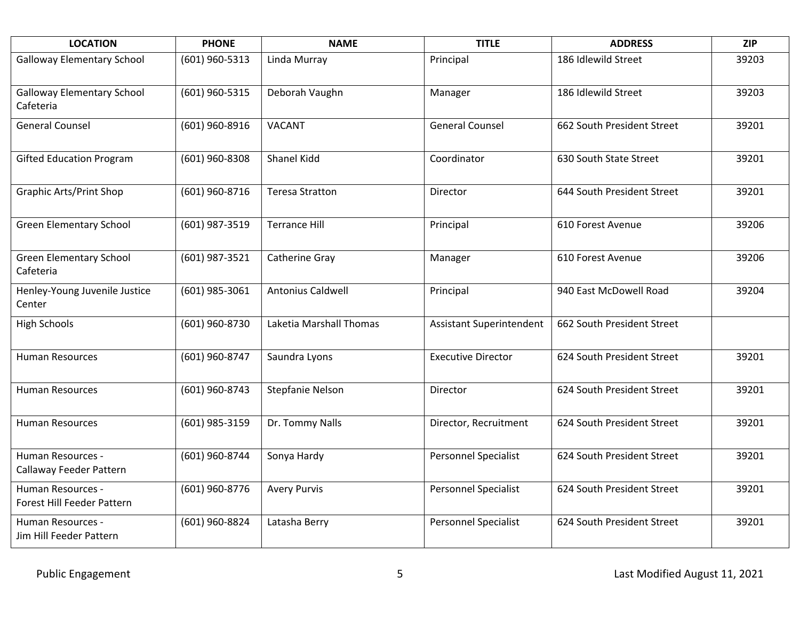| <b>LOCATION</b>                                 | <b>PHONE</b>   | <b>NAME</b>              | <b>TITLE</b>                    | <b>ADDRESS</b>             | <b>ZIP</b> |
|-------------------------------------------------|----------------|--------------------------|---------------------------------|----------------------------|------------|
| <b>Galloway Elementary School</b>               | (601) 960-5313 | Linda Murray             | Principal                       | 186 Idlewild Street        | 39203      |
| <b>Galloway Elementary School</b><br>Cafeteria  | (601) 960-5315 | Deborah Vaughn           | Manager                         | 186 Idlewild Street        | 39203      |
| <b>General Counsel</b>                          | (601) 960-8916 | <b>VACANT</b>            | <b>General Counsel</b>          | 662 South President Street | 39201      |
| <b>Gifted Education Program</b>                 | (601) 960-8308 | <b>Shanel Kidd</b>       | Coordinator                     | 630 South State Street     | 39201      |
| <b>Graphic Arts/Print Shop</b>                  | (601) 960-8716 | <b>Teresa Stratton</b>   | Director                        | 644 South President Street | 39201      |
| <b>Green Elementary School</b>                  | (601) 987-3519 | <b>Terrance Hill</b>     | Principal                       | 610 Forest Avenue          | 39206      |
| <b>Green Elementary School</b><br>Cafeteria     | (601) 987-3521 | Catherine Gray           | Manager                         | 610 Forest Avenue          | 39206      |
| Henley-Young Juvenile Justice<br>Center         | (601) 985-3061 | <b>Antonius Caldwell</b> | Principal                       | 940 East McDowell Road     | 39204      |
| <b>High Schools</b>                             | (601) 960-8730 | Laketia Marshall Thomas  | <b>Assistant Superintendent</b> | 662 South President Street |            |
| <b>Human Resources</b>                          | (601) 960-8747 | Saundra Lyons            | <b>Executive Director</b>       | 624 South President Street | 39201      |
| <b>Human Resources</b>                          | (601) 960-8743 | <b>Stepfanie Nelson</b>  | Director                        | 624 South President Street | 39201      |
| <b>Human Resources</b>                          | (601) 985-3159 | Dr. Tommy Nalls          | Director, Recruitment           | 624 South President Street | 39201      |
| Human Resources -<br>Callaway Feeder Pattern    | (601) 960-8744 | Sonya Hardy              | <b>Personnel Specialist</b>     | 624 South President Street | 39201      |
| Human Resources -<br>Forest Hill Feeder Pattern | (601) 960-8776 | <b>Avery Purvis</b>      | <b>Personnel Specialist</b>     | 624 South President Street | 39201      |
| Human Resources -<br>Jim Hill Feeder Pattern    | (601) 960-8824 | Latasha Berry            | <b>Personnel Specialist</b>     | 624 South President Street | 39201      |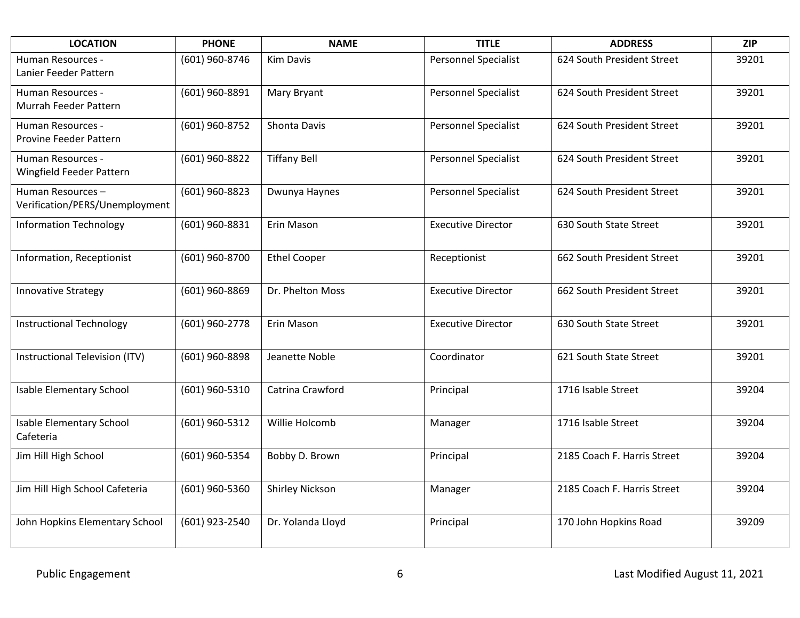| <b>LOCATION</b>                                    | <b>PHONE</b>   | <b>NAME</b>         | <b>TITLE</b>                | <b>ADDRESS</b>              | <b>ZIP</b> |
|----------------------------------------------------|----------------|---------------------|-----------------------------|-----------------------------|------------|
| Human Resources -<br>Lanier Feeder Pattern         | (601) 960-8746 | <b>Kim Davis</b>    | <b>Personnel Specialist</b> | 624 South President Street  | 39201      |
| Human Resources -<br>Murrah Feeder Pattern         | (601) 960-8891 | Mary Bryant         | <b>Personnel Specialist</b> | 624 South President Street  | 39201      |
| Human Resources -<br>Provine Feeder Pattern        | (601) 960-8752 | Shonta Davis        | <b>Personnel Specialist</b> | 624 South President Street  | 39201      |
| Human Resources -<br>Wingfield Feeder Pattern      | (601) 960-8822 | <b>Tiffany Bell</b> | Personnel Specialist        | 624 South President Street  | 39201      |
| Human Resources-<br>Verification/PERS/Unemployment | (601) 960-8823 | Dwunya Haynes       | <b>Personnel Specialist</b> | 624 South President Street  | 39201      |
| <b>Information Technology</b>                      | (601) 960-8831 | Erin Mason          | <b>Executive Director</b>   | 630 South State Street      | 39201      |
| Information, Receptionist                          | (601) 960-8700 | <b>Ethel Cooper</b> | Receptionist                | 662 South President Street  | 39201      |
| <b>Innovative Strategy</b>                         | (601) 960-8869 | Dr. Phelton Moss    | <b>Executive Director</b>   | 662 South President Street  | 39201      |
| <b>Instructional Technology</b>                    | (601) 960-2778 | Erin Mason          | <b>Executive Director</b>   | 630 South State Street      | 39201      |
| Instructional Television (ITV)                     | (601) 960-8898 | Jeanette Noble      | Coordinator                 | 621 South State Street      | 39201      |
| Isable Elementary School                           | (601) 960-5310 | Catrina Crawford    | Principal                   | 1716 Isable Street          | 39204      |
| <b>Isable Elementary School</b><br>Cafeteria       | (601) 960-5312 | Willie Holcomb      | Manager                     | 1716 Isable Street          | 39204      |
| Jim Hill High School                               | (601) 960-5354 | Bobby D. Brown      | Principal                   | 2185 Coach F. Harris Street | 39204      |
| Jim Hill High School Cafeteria                     | (601) 960-5360 | Shirley Nickson     | Manager                     | 2185 Coach F. Harris Street | 39204      |
| John Hopkins Elementary School                     | (601) 923-2540 | Dr. Yolanda Lloyd   | Principal                   | 170 John Hopkins Road       | 39209      |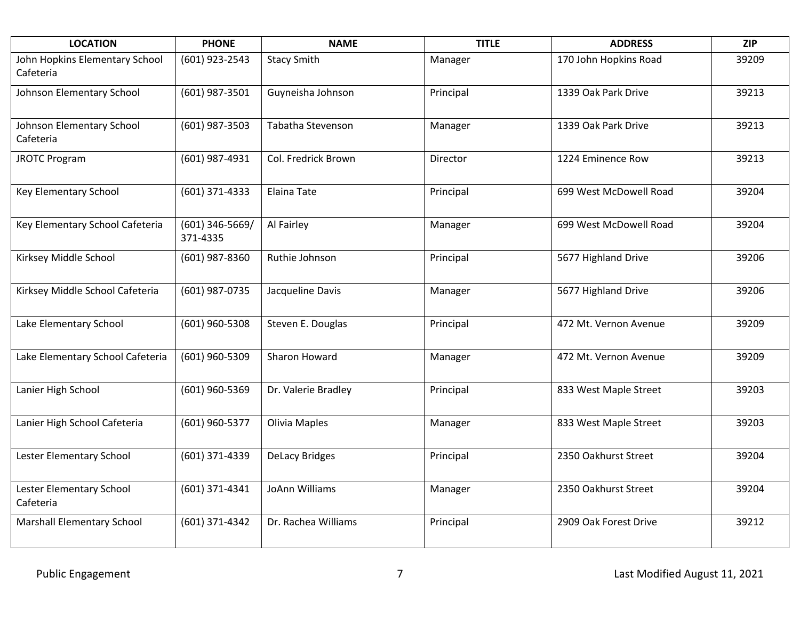| <b>LOCATION</b>                             | <b>PHONE</b>                  | <b>NAME</b>           | <b>TITLE</b> | <b>ADDRESS</b>         | <b>ZIP</b> |
|---------------------------------------------|-------------------------------|-----------------------|--------------|------------------------|------------|
| John Hopkins Elementary School<br>Cafeteria | (601) 923-2543                | <b>Stacy Smith</b>    | Manager      | 170 John Hopkins Road  | 39209      |
| Johnson Elementary School                   | (601) 987-3501                | Guyneisha Johnson     | Principal    | 1339 Oak Park Drive    | 39213      |
| Johnson Elementary School<br>Cafeteria      | (601) 987-3503                | Tabatha Stevenson     | Manager      | 1339 Oak Park Drive    | 39213      |
| <b>JROTC Program</b>                        | (601) 987-4931                | Col. Fredrick Brown   | Director     | 1224 Eminence Row      | 39213      |
| Key Elementary School                       | (601) 371-4333                | <b>Elaina Tate</b>    | Principal    | 699 West McDowell Road | 39204      |
| Key Elementary School Cafeteria             | $(601)$ 346-5669/<br>371-4335 | Al Fairley            | Manager      | 699 West McDowell Road | 39204      |
| Kirksey Middle School                       | (601) 987-8360                | Ruthie Johnson        | Principal    | 5677 Highland Drive    | 39206      |
| Kirksey Middle School Cafeteria             | (601) 987-0735                | Jacqueline Davis      | Manager      | 5677 Highland Drive    | 39206      |
| Lake Elementary School                      | (601) 960-5308                | Steven E. Douglas     | Principal    | 472 Mt. Vernon Avenue  | 39209      |
| Lake Elementary School Cafeteria            | (601) 960-5309                | Sharon Howard         | Manager      | 472 Mt. Vernon Avenue  | 39209      |
| Lanier High School                          | (601) 960-5369                | Dr. Valerie Bradley   | Principal    | 833 West Maple Street  | 39203      |
| Lanier High School Cafeteria                | (601) 960-5377                | Olivia Maples         | Manager      | 833 West Maple Street  | 39203      |
| Lester Elementary School                    | (601) 371-4339                | <b>DeLacy Bridges</b> | Principal    | 2350 Oakhurst Street   | 39204      |
| Lester Elementary School<br>Cafeteria       | (601) 371-4341                | JoAnn Williams        | Manager      | 2350 Oakhurst Street   | 39204      |
| <b>Marshall Elementary School</b>           | (601) 371-4342                | Dr. Rachea Williams   | Principal    | 2909 Oak Forest Drive  | 39212      |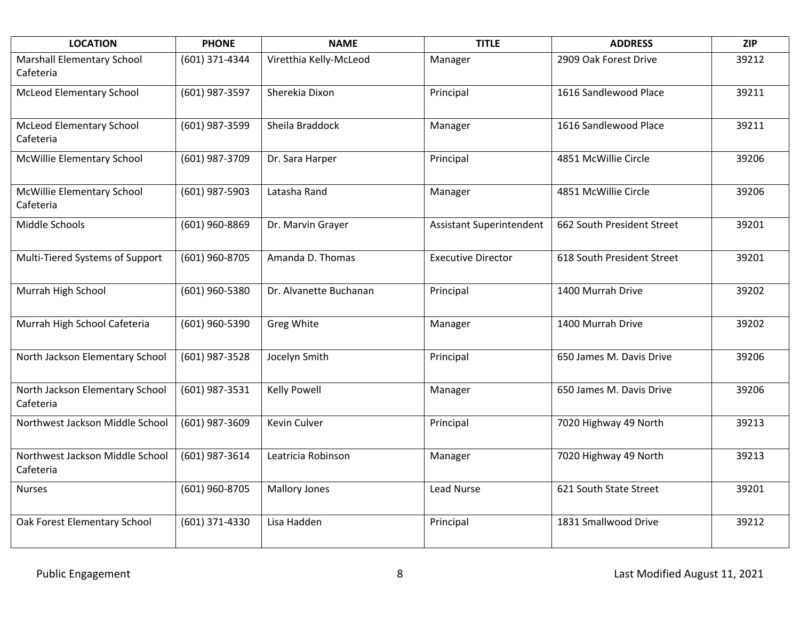| <b>LOCATION</b>                                | <b>PHONE</b>   | <b>NAME</b>            | <b>TITLE</b>              | <b>ADDRESS</b>             | <b>ZIP</b> |
|------------------------------------------------|----------------|------------------------|---------------------------|----------------------------|------------|
| <b>Marshall Elementary School</b><br>Cafeteria | (601) 371-4344 | Viretthia Kelly-McLeod | Manager                   | 2909 Oak Forest Drive      | 39212      |
| <b>McLeod Elementary School</b>                | (601) 987-3597 | Sherekia Dixon         | Principal                 | 1616 Sandlewood Place      | 39211      |
| <b>McLeod Elementary School</b><br>Cafeteria   | (601) 987-3599 | Sheila Braddock        | Manager                   | 1616 Sandlewood Place      | 39211      |
| McWillie Elementary School                     | (601) 987-3709 | Dr. Sara Harper        | Principal                 | 4851 McWillie Circle       | 39206      |
| McWillie Elementary School<br>Cafeteria        | (601) 987-5903 | Latasha Rand           | Manager                   | 4851 McWillie Circle       | 39206      |
| Middle Schools                                 | (601) 960-8869 | Dr. Marvin Grayer      | Assistant Superintendent  | 662 South President Street | 39201      |
| Multi-Tiered Systems of Support                | (601) 960-8705 | Amanda D. Thomas       | <b>Executive Director</b> | 618 South President Street | 39201      |
| Murrah High School                             | (601) 960-5380 | Dr. Alvanette Buchanan | Principal                 | 1400 Murrah Drive          | 39202      |
| Murrah High School Cafeteria                   | (601) 960-5390 | Greg White             | Manager                   | 1400 Murrah Drive          | 39202      |
| North Jackson Elementary School                | (601) 987-3528 | Jocelyn Smith          | Principal                 | 650 James M. Davis Drive   | 39206      |
| North Jackson Elementary School<br>Cafeteria   | (601) 987-3531 | <b>Kelly Powell</b>    | Manager                   | 650 James M. Davis Drive   | 39206      |
| Northwest Jackson Middle School                | (601) 987-3609 | Kevin Culver           | Principal                 | 7020 Highway 49 North      | 39213      |
| Northwest Jackson Middle School<br>Cafeteria   | (601) 987-3614 | Leatricia Robinson     | Manager                   | 7020 Highway 49 North      | 39213      |
| <b>Nurses</b>                                  | (601) 960-8705 | <b>Mallory Jones</b>   | <b>Lead Nurse</b>         | 621 South State Street     | 39201      |
| Oak Forest Elementary School                   | (601) 371-4330 | Lisa Hadden            | Principal                 | 1831 Smallwood Drive       | 39212      |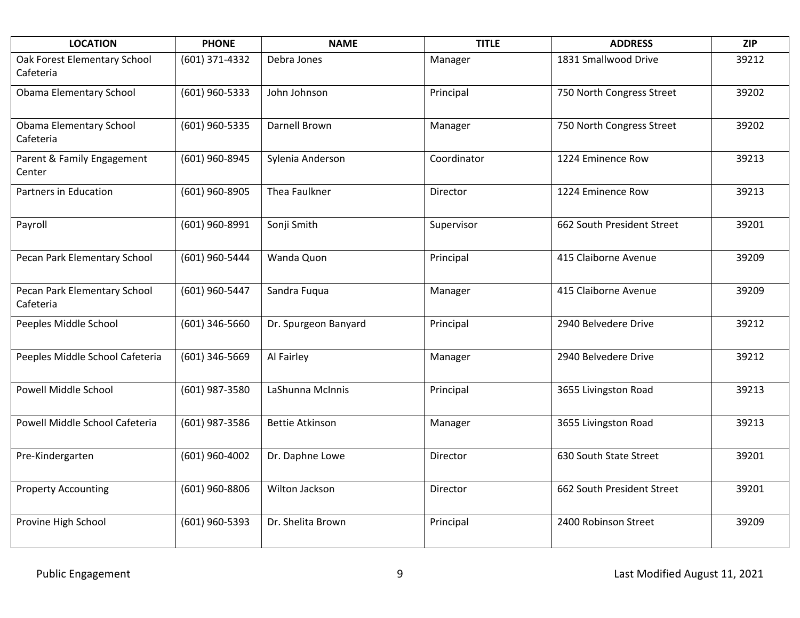| <b>LOCATION</b>                           | <b>PHONE</b>   | <b>NAME</b>            | <b>TITLE</b> | <b>ADDRESS</b>             | <b>ZIP</b> |
|-------------------------------------------|----------------|------------------------|--------------|----------------------------|------------|
| Oak Forest Elementary School<br>Cafeteria | (601) 371-4332 | Debra Jones            | Manager      | 1831 Smallwood Drive       | 39212      |
| <b>Obama Elementary School</b>            | (601) 960-5333 | John Johnson           | Principal    | 750 North Congress Street  | 39202      |
| Obama Elementary School<br>Cafeteria      | (601) 960-5335 | Darnell Brown          | Manager      | 750 North Congress Street  | 39202      |
| Parent & Family Engagement<br>Center      | (601) 960-8945 | Sylenia Anderson       | Coordinator  | 1224 Eminence Row          | 39213      |
| Partners in Education                     | (601) 960-8905 | Thea Faulkner          | Director     | 1224 Eminence Row          | 39213      |
| Payroll                                   | (601) 960-8991 | Sonji Smith            | Supervisor   | 662 South President Street | 39201      |
| Pecan Park Elementary School              | (601) 960-5444 | Wanda Quon             | Principal    | 415 Claiborne Avenue       | 39209      |
| Pecan Park Elementary School<br>Cafeteria | (601) 960-5447 | Sandra Fuqua           | Manager      | 415 Claiborne Avenue       | 39209      |
| Peeples Middle School                     | (601) 346-5660 | Dr. Spurgeon Banyard   | Principal    | 2940 Belvedere Drive       | 39212      |
| Peeples Middle School Cafeteria           | (601) 346-5669 | Al Fairley             | Manager      | 2940 Belvedere Drive       | 39212      |
| Powell Middle School                      | (601) 987-3580 | LaShunna McInnis       | Principal    | 3655 Livingston Road       | 39213      |
| Powell Middle School Cafeteria            | (601) 987-3586 | <b>Bettie Atkinson</b> | Manager      | 3655 Livingston Road       | 39213      |
| Pre-Kindergarten                          | (601) 960-4002 | Dr. Daphne Lowe        | Director     | 630 South State Street     | 39201      |
| <b>Property Accounting</b>                | (601) 960-8806 | Wilton Jackson         | Director     | 662 South President Street | 39201      |
| Provine High School                       | (601) 960-5393 | Dr. Shelita Brown      | Principal    | 2400 Robinson Street       | 39209      |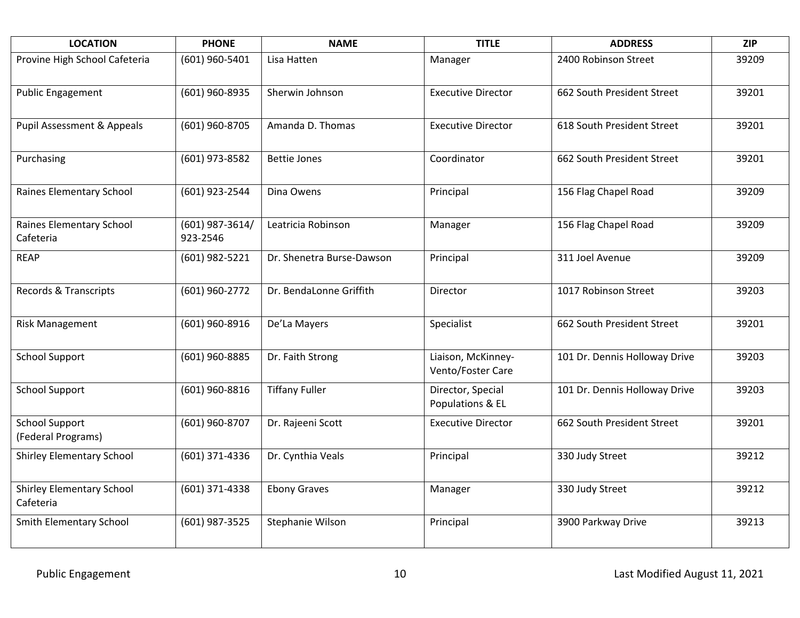| <b>LOCATION</b>                               | <b>PHONE</b>                | <b>NAME</b>               | <b>TITLE</b>                            | <b>ADDRESS</b>                | <b>ZIP</b> |
|-----------------------------------------------|-----------------------------|---------------------------|-----------------------------------------|-------------------------------|------------|
| Provine High School Cafeteria                 | (601) 960-5401              | Lisa Hatten               | Manager                                 | 2400 Robinson Street          | 39209      |
| <b>Public Engagement</b>                      | (601) 960-8935              | Sherwin Johnson           | <b>Executive Director</b>               | 662 South President Street    | 39201      |
| Pupil Assessment & Appeals                    | (601) 960-8705              | Amanda D. Thomas          | <b>Executive Director</b>               | 618 South President Street    | 39201      |
| Purchasing                                    | (601) 973-8582              | <b>Bettie Jones</b>       | Coordinator                             | 662 South President Street    | 39201      |
| Raines Elementary School                      | (601) 923-2544              | Dina Owens                | Principal                               | 156 Flag Chapel Road          | 39209      |
| Raines Elementary School<br>Cafeteria         | (601) 987-3614/<br>923-2546 | Leatricia Robinson        | Manager                                 | 156 Flag Chapel Road          | 39209      |
| <b>REAP</b>                                   | (601) 982-5221              | Dr. Shenetra Burse-Dawson | Principal                               | 311 Joel Avenue               | 39209      |
| Records & Transcripts                         | (601) 960-2772              | Dr. BendaLonne Griffith   | Director                                | 1017 Robinson Street          | 39203      |
| <b>Risk Management</b>                        | (601) 960-8916              | De'La Mayers              | Specialist                              | 662 South President Street    | 39201      |
| <b>School Support</b>                         | (601) 960-8885              | Dr. Faith Strong          | Liaison, McKinney-<br>Vento/Foster Care | 101 Dr. Dennis Holloway Drive | 39203      |
| <b>School Support</b>                         | (601) 960-8816              | <b>Tiffany Fuller</b>     | Director, Special<br>Populations & EL   | 101 Dr. Dennis Holloway Drive | 39203      |
| <b>School Support</b><br>(Federal Programs)   | (601) 960-8707              | Dr. Rajeeni Scott         | <b>Executive Director</b>               | 662 South President Street    | 39201      |
| <b>Shirley Elementary School</b>              | (601) 371-4336              | Dr. Cynthia Veals         | Principal                               | 330 Judy Street               | 39212      |
| <b>Shirley Elementary School</b><br>Cafeteria | (601) 371-4338              | <b>Ebony Graves</b>       | Manager                                 | 330 Judy Street               | 39212      |
| Smith Elementary School                       | (601) 987-3525              | Stephanie Wilson          | Principal                               | 3900 Parkway Drive            | 39213      |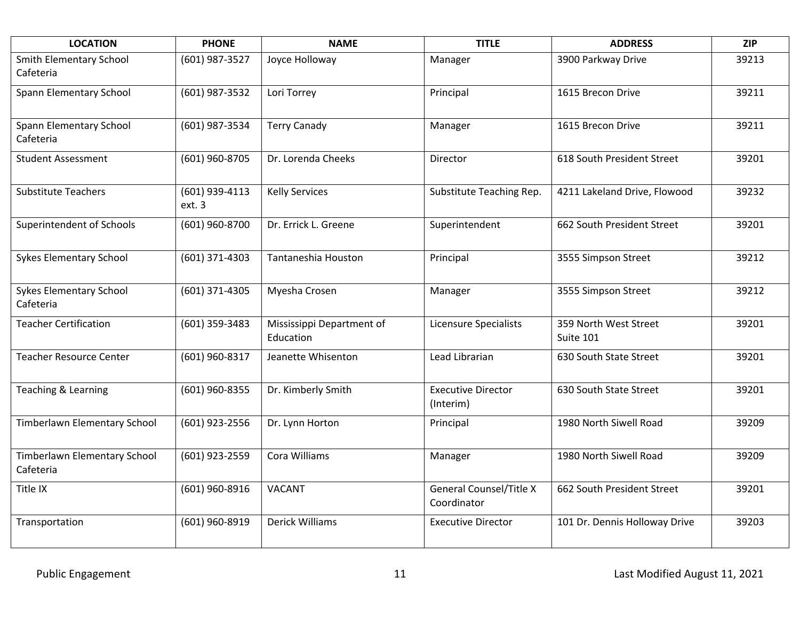| <b>LOCATION</b>                             | <b>PHONE</b>             | <b>NAME</b>                            | <b>TITLE</b>                                  | <b>ADDRESS</b>                     | <b>ZIP</b> |
|---------------------------------------------|--------------------------|----------------------------------------|-----------------------------------------------|------------------------------------|------------|
| Smith Elementary School<br>Cafeteria        | (601) 987-3527           | Joyce Holloway                         | Manager                                       | 3900 Parkway Drive                 | 39213      |
| Spann Elementary School                     | (601) 987-3532           | Lori Torrey                            | Principal                                     | 1615 Brecon Drive                  | 39211      |
| Spann Elementary School<br>Cafeteria        | (601) 987-3534           | <b>Terry Canady</b>                    | Manager                                       | 1615 Brecon Drive                  | 39211      |
| <b>Student Assessment</b>                   | (601) 960-8705           | Dr. Lorenda Cheeks                     | Director                                      | 618 South President Street         | 39201      |
| <b>Substitute Teachers</b>                  | (601) 939-4113<br>ext. 3 | <b>Kelly Services</b>                  | Substitute Teaching Rep.                      | 4211 Lakeland Drive, Flowood       | 39232      |
| Superintendent of Schools                   | (601) 960-8700           | Dr. Errick L. Greene                   | Superintendent                                | 662 South President Street         | 39201      |
| <b>Sykes Elementary School</b>              | (601) 371-4303           | Tantaneshia Houston                    | Principal                                     | 3555 Simpson Street                | 39212      |
| <b>Sykes Elementary School</b><br>Cafeteria | (601) 371-4305           | Myesha Crosen                          | Manager                                       | 3555 Simpson Street                | 39212      |
| <b>Teacher Certification</b>                | (601) 359-3483           | Mississippi Department of<br>Education | Licensure Specialists                         | 359 North West Street<br>Suite 101 | 39201      |
| <b>Teacher Resource Center</b>              | (601) 960-8317           | Jeanette Whisenton                     | Lead Librarian                                | 630 South State Street             | 39201      |
| Teaching & Learning                         | (601) 960-8355           | Dr. Kimberly Smith                     | <b>Executive Director</b><br>(Interim)        | 630 South State Street             | 39201      |
| Timberlawn Elementary School                | (601) 923-2556           | Dr. Lynn Horton                        | Principal                                     | 1980 North Siwell Road             | 39209      |
| Timberlawn Elementary School<br>Cafeteria   | (601) 923-2559           | Cora Williams                          | Manager                                       | 1980 North Siwell Road             | 39209      |
| Title IX                                    | (601) 960-8916           | <b>VACANT</b>                          | <b>General Counsel/Title X</b><br>Coordinator | 662 South President Street         | 39201      |
| Transportation                              | (601) 960-8919           | <b>Derick Williams</b>                 | <b>Executive Director</b>                     | 101 Dr. Dennis Holloway Drive      | 39203      |